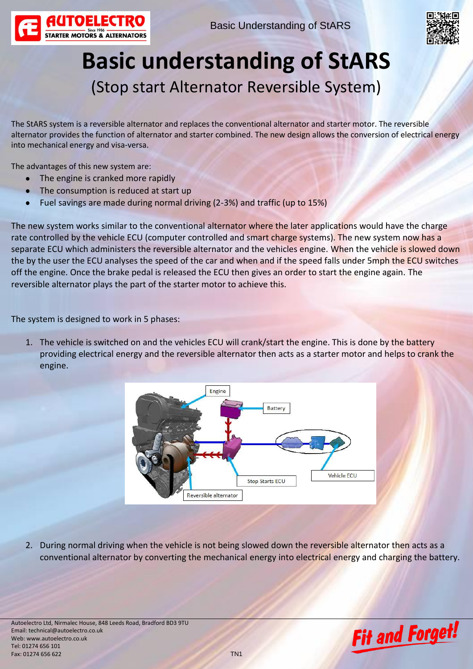



## **Basic understanding of StARS** (Stop start Alternator Reversible System)

The StARS system is a reversible alternator and replaces the conventional alternator and starter motor. The reversible alternator provides the function of alternator and starter combined. The new design allows the conversion of electrical energy into mechanical energy and visa-versa.

The advantages of this new system are:

- The engine is cranked more rapidly
- The consumption is reduced at start up
- $\bullet$ Fuel savings are made during normal driving (2-3%) and traffic (up to 15%)

The new system works similar to the conventional alternator where the later applications would have the charge rate controlled by the vehicle ECU (computer controlled and smart charge systems). The new system now has a separate ECU which administers the reversible alternator and the vehicles engine. When the vehicle is slowed down the by the user the ECU analyses the speed of the car and when and if the speed falls under 5mph the ECU switches off the engine. Once the brake pedal is released the ECU then gives an order to start the engine again. The reversible alternator plays the part of the starter motor to achieve this.

The system is designed to work in 5 phases:

1. The vehicle is switched on and the vehicles ECU will crank/start the engine. This is done by the battery providing electrical energy and the reversible alternator then acts as a starter motor and helps to crank the engine.



2. During normal driving when the vehicle is not being slowed down the reversible alternator then acts as a conventional alternator by converting the mechanical energy into electrical energy and charging the battery.

Autoelectro Ltd, Nirmalec House, 848 Leeds Road, Bradford BD3 9TU Email: technical@autoelectro.co.uk Web: www.autoelectro.co.uk Tel: 01274 656 101 Fax: 01274 656 622 TN1

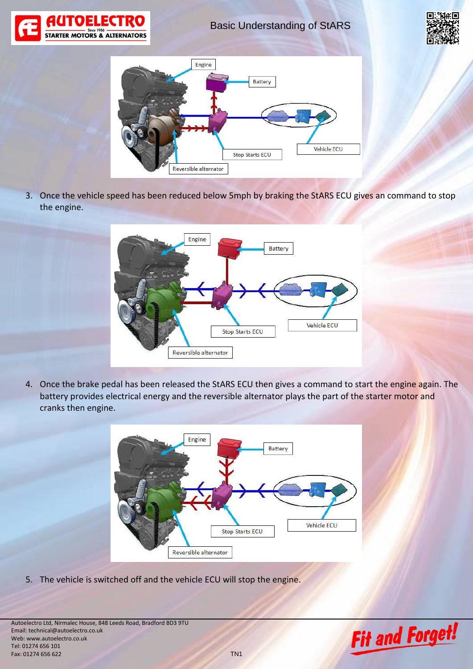

Basic Understanding of StARS





3. Once the vehicle speed has been reduced below 5mph by braking the StARS ECU gives an command to stop the engine.



4. Once the brake pedal has been released the StARS ECU then gives a command to start the engine again. The battery provides electrical energy and the reversible alternator plays the part of the starter motor and cranks then engine.



5. The vehicle is switched off and the vehicle ECU will stop the engine.

Autoelectro Ltd, Nirmalec House, 848 Leeds Road, Bradford BD3 9TU Email: technical@autoelectro.co.uk Web: www.autoelectro.co.uk Tel: 01274 656 101 Fax: 01274 656 622 TN1